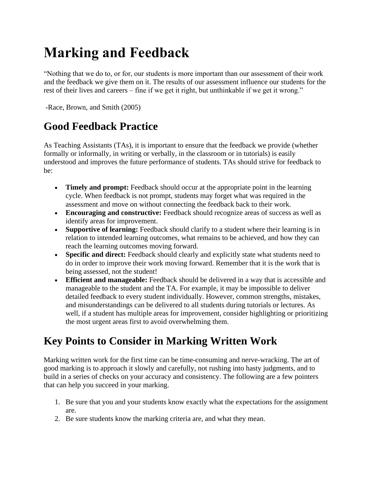## **Marking and Feedback**

"Nothing that we do to, or for, our students is more important than our assessment of their work and the feedback we give them on it. The results of our assessment influence our students for the rest of their lives and careers – fine if we get it right, but unthinkable if we get it wrong."

-Race, Brown, and Smith (2005)

#### **Good Feedback Practice**

As Teaching Assistants (TAs), it is important to ensure that the feedback we provide (whether formally or informally, in writing or verbally, in the classroom or in tutorials) is easily understood and improves the future performance of students. TAs should strive for feedback to be:

- **Timely and prompt:** Feedback should occur at the appropriate point in the learning cycle. When feedback is not prompt, students may forget what was required in the assessment and move on without connecting the feedback back to their work.
- **Encouraging and constructive:** Feedback should recognize areas of success as well as identify areas for improvement.
- **Supportive of learning:** Feedback should clarify to a student where their learning is in relation to intended learning outcomes, what remains to be achieved, and how they can reach the learning outcomes moving forward.
- **Specific and direct:** Feedback should clearly and explicitly state what students need to do in order to improve their work moving forward. Remember that it is the work that is being assessed, not the student!
- **Efficient and manageable:** Feedback should be delivered in a way that is accessible and manageable to the student and the TA. For example, it may be impossible to deliver detailed feedback to every student individually. However, common strengths, mistakes, and misunderstandings can be delivered to all students during tutorials or lectures. As well, if a student has multiple areas for improvement, consider highlighting or prioritizing the most urgent areas first to avoid overwhelming them.

### **Key Points to Consider in Marking Written Work**

Marking written work for the first time can be time-consuming and nerve-wracking. The art of good marking is to approach it slowly and carefully, not rushing into hasty judgments, and to build in a series of checks on your accuracy and consistency. The following are a few pointers that can help you succeed in your marking.

- 1. Be sure that you and your students know exactly what the expectations for the assignment are.
- 2. Be sure students know the marking criteria are, and what they mean.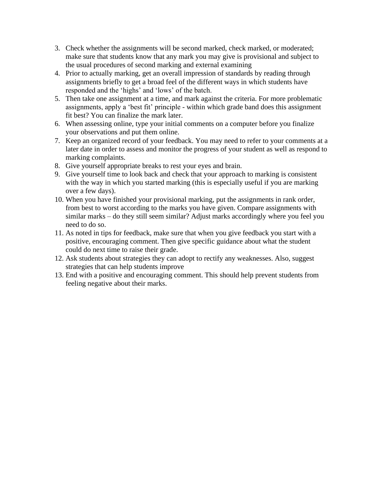- 3. Check whether the assignments will be second marked, check marked, or moderated; make sure that students know that any mark you may give is provisional and subject to the usual procedures of second marking and external examining
- 4. Prior to actually marking, get an overall impression of standards by reading through assignments briefly to get a broad feel of the different ways in which students have responded and the 'highs' and 'lows' of the batch.
- 5. Then take one assignment at a time, and mark against the criteria. For more problematic assignments, apply a 'best fit' principle - within which grade band does this assignment fit best? You can finalize the mark later.
- 6. When assessing online, type your initial comments on a computer before you finalize your observations and put them online.
- 7. Keep an organized record of your feedback. You may need to refer to your comments at a later date in order to assess and monitor the progress of your student as well as respond to marking complaints.
- 8. Give yourself appropriate breaks to rest your eyes and brain.
- 9. Give yourself time to look back and check that your approach to marking is consistent with the way in which you started marking (this is especially useful if you are marking over a few days).
- 10. When you have finished your provisional marking, put the assignments in rank order, from best to worst according to the marks you have given. Compare assignments with similar marks – do they still seem similar? Adjust marks accordingly where you feel you need to do so.
- 11. As noted in tips for feedback, make sure that when you give feedback you start with a positive, encouraging comment. Then give specific guidance about what the student could do next time to raise their grade.
- 12. Ask students about strategies they can adopt to rectify any weaknesses. Also, suggest strategies that can help students improve
- 13. End with a positive and encouraging comment. This should help prevent students from feeling negative about their marks.